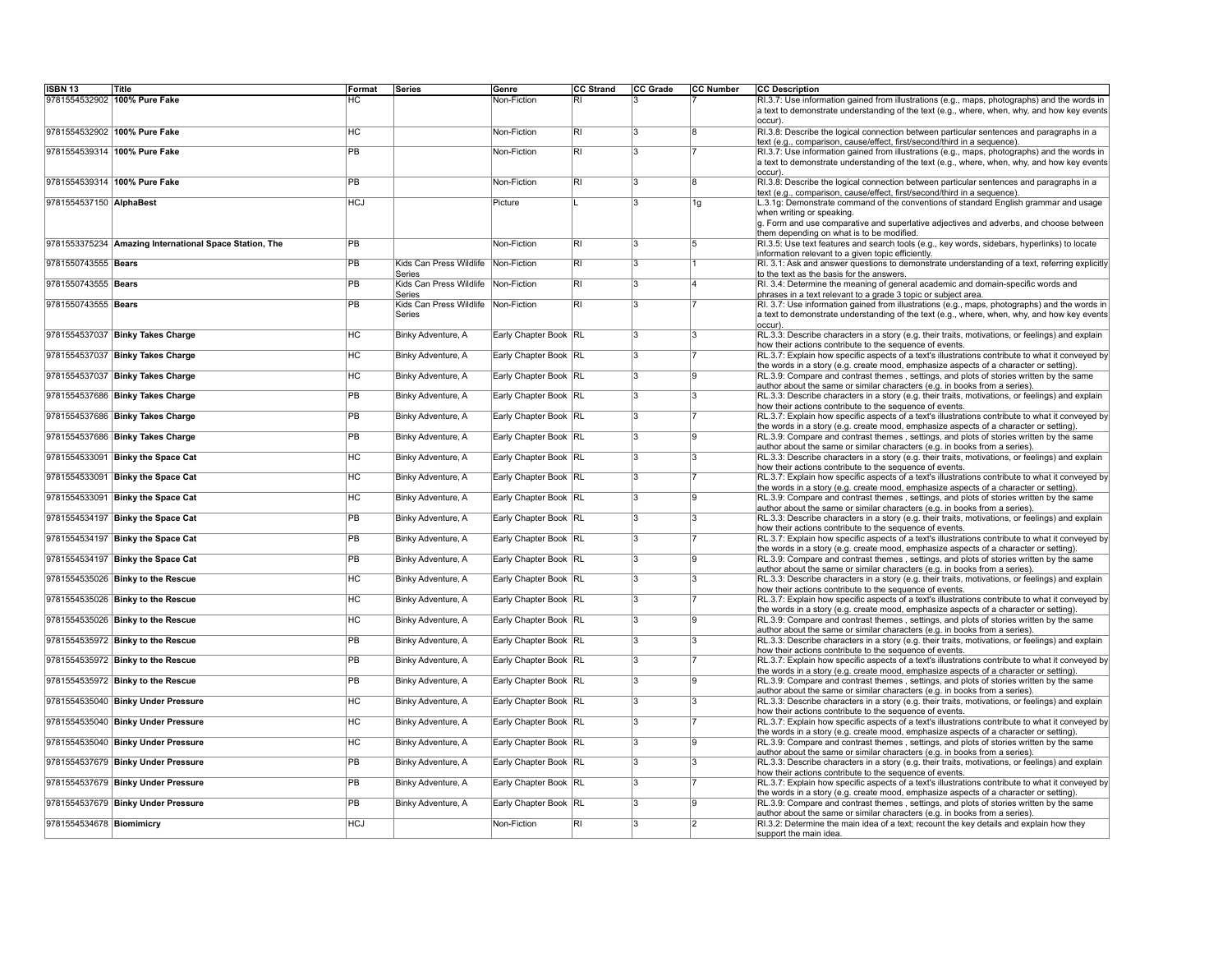| <b>ISBN 13</b>               | Title                                                  | Format          | Series                            | Genre                 | CC Strand               | CC Grade                | <b>CC Number</b> | <b>CC Description</b>                                                                                                                                                                                                                     |
|------------------------------|--------------------------------------------------------|-----------------|-----------------------------------|-----------------------|-------------------------|-------------------------|------------------|-------------------------------------------------------------------------------------------------------------------------------------------------------------------------------------------------------------------------------------------|
| 9781554532902 100% Pure Fake |                                                        | НC              |                                   | Non-Fiction           | $\overline{\mathsf{R}}$ |                         |                  | RI.3.7: Use information gained from illustrations (e.g., maps, photographs) and the words in<br>a text to demonstrate understanding of the text (e.g., where, when, why, and how key events<br>occur).                                    |
|                              | 9781554532902 100% Pure Fake                           | <b>HC</b>       |                                   | Non-Fiction           | RI                      | $\overline{\mathbf{3}}$ | ١g               | RI.3.8: Describe the logical connection between particular sentences and paragraphs in a<br>text (e.g., comparison, cause/effect, first/second/third in a sequence).                                                                      |
| 9781554539314 100% Pure Fake |                                                        | PB              |                                   | Non-Fiction           | RI                      | 3                       |                  | RI.3.7: Use information gained from illustrations (e.g., maps, photographs) and the words in<br>a text to demonstrate understanding of the text (e.g., where, when, why, and how key events<br>occur).                                    |
|                              | 9781554539314 100% Pure Fake                           | <b>PB</b>       |                                   | Non-Fiction           | RI                      | 3                       | ١g               | RI.3.8: Describe the logical connection between particular sentences and paragraphs in a<br>text (e.g., comparison, cause/effect, first/second/third in a sequence).                                                                      |
| 9781554537150 AlphaBest      |                                                        | <b>HCJ</b>      |                                   | Picture               | IL.                     | 3                       | 1g               | L.3.1g: Demonstrate command of the conventions of standard English grammar and usage<br>when writing or speaking.<br>g. Form and use comparative and superlative adjectives and adverbs, and choose between                               |
|                              | 9781553375234 Amazing International Space Station, The | $\overline{PB}$ |                                   | Non-Fiction           | $\overline{\mathsf{R}}$ | $\overline{3}$          | $\overline{5}$   | them depending on what is to be modified.<br>RI.3.5: Use text features and search tools (e.g., key words, sidebars, hyperlinks) to locate                                                                                                 |
|                              |                                                        |                 |                                   |                       |                         |                         |                  | information relevant to a given topic efficiently.                                                                                                                                                                                        |
| 9781550743555 Bears          |                                                        | $\overline{PB}$ | Kids Can Press Wildlife<br>Series | Non-Fiction           | $\overline{\mathsf{R}}$ | $\overline{3}$          |                  | RI. 3.1: Ask and answer questions to demonstrate understanding of a text, referring explicitly<br>to the text as the basis for the answers.                                                                                               |
| 9781550743555 Bears          |                                                        | PB              | Kids Can Press Wildlife<br>Series | Non-Fiction           | $ \overline{R}$         | $\overline{3}$          | 14               | RI. 3.4: Determine the meaning of general academic and domain-specific words and<br>phrases in a text relevant to a grade 3 topic or subject area.                                                                                        |
| 9781550743555 Bears          |                                                        | <b>PB</b>       | Kids Can Press Wildlife<br>Series | Non-Fiction           | RI                      | 3                       |                  | RI. 3.7: Use information gained from illustrations (e.g., maps, photographs) and the words in<br>a text to demonstrate understanding of the text (e.g., where, when, why, and how key events<br>occur).                                   |
|                              | 9781554537037 Binky Takes Charge                       | HC              | Binky Adventure, A                | Early Chapter Book RL |                         | 3                       | 3                | RL.3.3: Describe characters in a story (e.g. their traits, motivations, or feelings) and explain<br>how their actions contribute to the sequence of events.                                                                               |
|                              | 9781554537037 Binky Takes Charge                       | <b>HC</b>       | Binky Adventure, A                | Early Chapter Book RL |                         | 3                       |                  | RL.3.7: Explain how specific aspects of a text's illustrations contribute to what it conveyed by<br>the words in a story (e.g. create mood, emphasize aspects of a character or setting).                                                 |
|                              | 9781554537037 Binky Takes Charge                       | <b>HC</b>       | Binky Adventure, A                | Early Chapter Book RL |                         | $\overline{3}$          | 19               | RL.3.9: Compare and contrast themes, settings, and plots of stories written by the same<br>author about the same or similar characters (e.g. in books from a series).                                                                     |
|                              | 9781554537686 Binky Takes Charge                       | <b>PB</b>       | Binky Adventure, A                | Early Chapter Book RL |                         | $\overline{3}$          | 3                | RL.3.3: Describe characters in a story (e.g. their traits, motivations, or feelings) and explain<br>how their actions contribute to the sequence of events.                                                                               |
|                              | 9781554537686 Binky Takes Charge                       | <b>PB</b>       | Binky Adventure, A                | Early Chapter Book RL |                         | $\overline{3}$          |                  | RL.3.7: Explain how specific aspects of a text's illustrations contribute to what it conveyed by<br>the words in a story (e.g. create mood, emphasize aspects of a character or setting).                                                 |
|                              | 9781554537686 Binky Takes Charge                       | PB              | Binky Adventure, A                | Early Chapter Book RL |                         | $\overline{3}$          | l9               | RL.3.9: Compare and contrast themes, settings, and plots of stories written by the same<br>author about the same or similar characters (e.g. in books from a series).                                                                     |
|                              | 9781554533091 Binky the Space Cat                      | H <sub>C</sub>  | Binky Adventure, A                | Early Chapter Book RL |                         | $\overline{3}$          | $\overline{3}$   | RL.3.3: Describe characters in a story (e.g. their traits, motivations, or feelings) and explain<br>how their actions contribute to the sequence of events.                                                                               |
|                              | 9781554533091 Binky the Space Cat                      | H <sub>C</sub>  | Binky Adventure, A                | Early Chapter Book RL |                         | 3                       |                  | RL.3.7: Explain how specific aspects of a text's illustrations contribute to what it conveyed by<br>the words in a story (e.g. create mood, emphasize aspects of a character or setting).                                                 |
|                              | 9781554533091 Binky the Space Cat                      | HC              | Binky Adventure, A                | Early Chapter Book RL |                         | 3                       | l9               | RL.3.9: Compare and contrast themes, settings, and plots of stories written by the same<br>author about the same or similar characters (e.g. in books from a series).                                                                     |
|                              | 9781554534197 Binky the Space Cat                      | <b>PB</b>       | Binky Adventure, A                | Early Chapter Book RL |                         | $\overline{3}$          | $\overline{3}$   | RL.3.3: Describe characters in a story (e.g. their traits, motivations, or feelings) and explain<br>how their actions contribute to the sequence of events.                                                                               |
|                              | 9781554534197 Binky the Space Cat                      | <b>PB</b>       | Binky Adventure, A                | Early Chapter Book RL |                         | 3                       |                  | RL.3.7: Explain how specific aspects of a text's illustrations contribute to what it conveyed by<br>the words in a story (e.g. create mood, emphasize aspects of a character or setting).                                                 |
|                              | 9781554534197 Binky the Space Cat                      | <b>PB</b>       | Binky Adventure, A                | Early Chapter Book RL |                         | $\overline{3}$          | ۱g               | RL.3.9: Compare and contrast themes, settings, and plots of stories written by the same<br>author about the same or similar characters (e.g. in books from a series).                                                                     |
|                              | 9781554535026 Binky to the Rescue                      | HC              | Binky Adventure, A                | Early Chapter Book RL |                         | 3                       | 3                | RL.3.3: Describe characters in a story (e.g. their traits, motivations, or feelings) and explain<br>how their actions contribute to the sequence of events.                                                                               |
|                              | 9781554535026 Binky to the Rescue                      | HC              | Binky Adventure, A                | Early Chapter Book RL |                         | 3                       |                  | RL.3.7: Explain how specific aspects of a text's illustrations contribute to what it conveyed by<br>the words in a story (e.g. create mood, emphasize aspects of a character or setting).                                                 |
|                              | 9781554535026 Binky to the Rescue                      | <b>HC</b>       | Binky Adventure, A                | Early Chapter Book RL |                         | 3                       | l9               | RL.3.9: Compare and contrast themes, settings, and plots of stories written by the same<br>author about the same or similar characters (e.g. in books from a series).                                                                     |
|                              | 9781554535972 Binky to the Rescue                      | PB              | Binky Adventure, A                | Early Chapter Book RL |                         | 3                       | 13               | RL.3.3: Describe characters in a story (e.g. their traits, motivations, or feelings) and explain<br>how their actions contribute to the sequence of events.                                                                               |
|                              | 9781554535972 Binky to the Rescue                      | PB              | Binky Adventure, A                | Early Chapter Book RL |                         | 3                       |                  | RL.3.7: Explain how specific aspects of a text's illustrations contribute to what it conveyed by<br>the words in a story (e.g. create mood, emphasize aspects of a character or setting).                                                 |
|                              | 9781554535972 Binky to the Rescue                      | <b>PB</b>       | Binky Adventure, A                | Early Chapter Book RL |                         | 3                       | $\mathbf{Q}$     | RL.3.9: Compare and contrast themes, settings, and plots of stories written by the same                                                                                                                                                   |
|                              | 9781554535040 Binky Under Pressure                     | <b>HC</b>       | Binky Adventure, A                | Early Chapter Book RL |                         | 3                       | l3               | author about the same or similar characters (e.g. in books from a series).<br>RL.3.3: Describe characters in a story (e.g. their traits, motivations, or feelings) and explain<br>how their actions contribute to the sequence of events. |
|                              | 9781554535040 Binky Under Pressure                     | <b>HC</b>       | Binky Adventure, A                | Early Chapter Book RL |                         | $\overline{3}$          |                  | RL.3.7: Explain how specific aspects of a text's illustrations contribute to what it conveyed by<br>the words in a story (e.g. create mood, emphasize aspects of a character or setting).                                                 |
|                              | 9781554535040 Binky Under Pressure                     | <b>HC</b>       | Binky Adventure, A                | Early Chapter Book RL |                         | 3                       | l9               | RL.3.9: Compare and contrast themes, settings, and plots of stories written by the same<br>author about the same or similar characters (e.g. in books from a series).                                                                     |
|                              | 9781554537679 Binky Under Pressure                     | <b>PB</b>       | Binky Adventure, A                | Early Chapter Book RL |                         | 3                       | $\overline{3}$   | RL.3.3: Describe characters in a story (e.g. their traits, motivations, or feelings) and explain<br>how their actions contribute to the sequence of events.                                                                               |
|                              | 9781554537679 Binky Under Pressure                     | PB              | Binky Adventure, A                | Early Chapter Book RL |                         | 3                       |                  | $RL3.7$ : Explain how specific aspects of a text's illustrations contribute to what it conveyed by<br>the words in a story (e.g. create mood, emphasize aspects of a character or setting).                                               |
|                              | 9781554537679 Binky Under Pressure                     | $\overline{PB}$ | Binky Adventure, A                | Early Chapter Book RL |                         | $\overline{3}$          | ۱q               | RL.3.9: Compare and contrast themes, settings, and plots of stories written by the same<br>author about the same or similar characters (e.g. in books from a series).                                                                     |
| 9781554534678 Biomimicry     |                                                        | <b>HCJ</b>      |                                   | Non-Fiction           | RI.                     | $\overline{3}$          | $\overline{2}$   | RI.3.2: Determine the main idea of a text; recount the key details and explain how they<br>support the main idea.                                                                                                                         |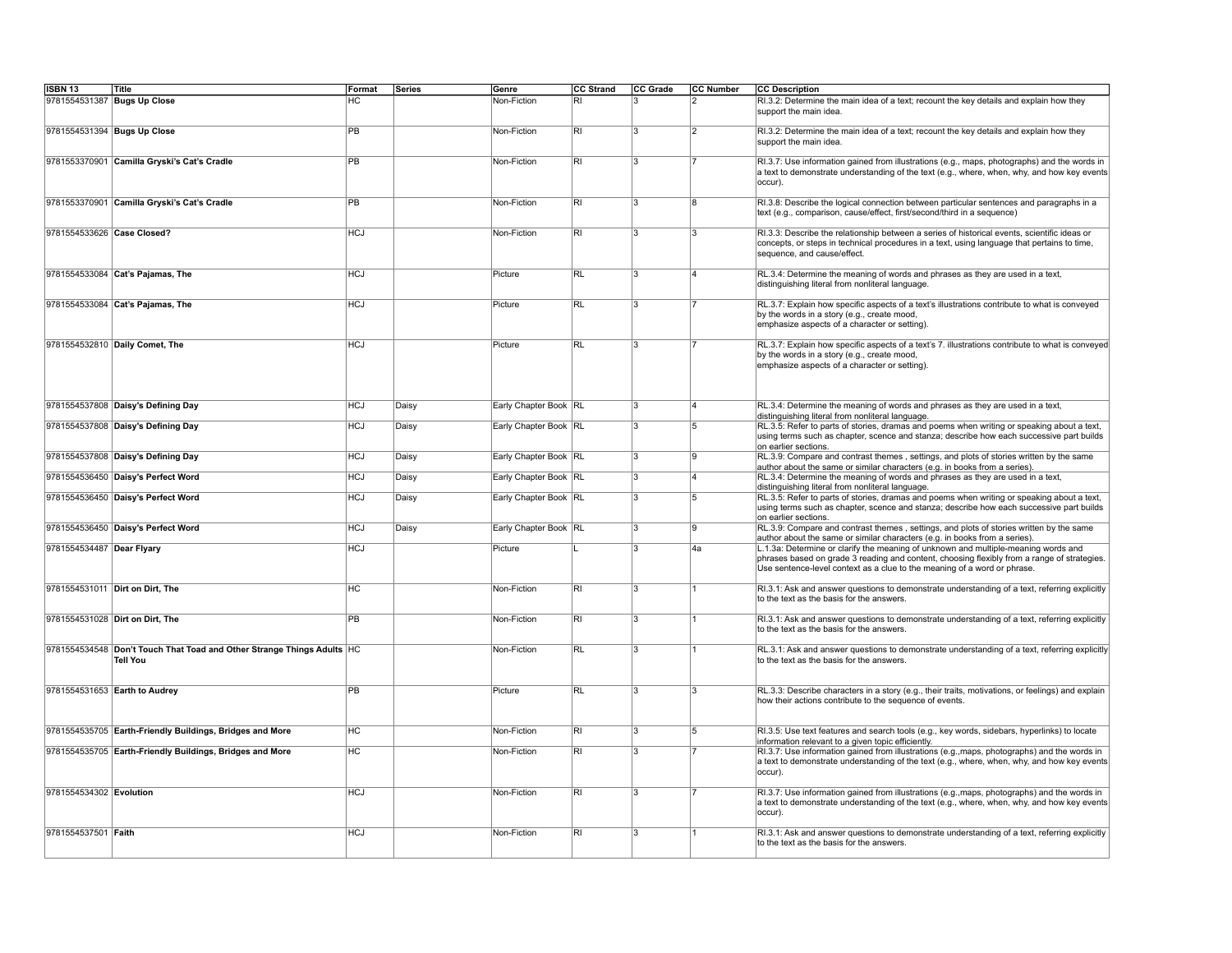| <b>ISBN 13</b>              | Title                                                                                     | Format          | Series | Genre                   | CC Strand               | CC Grade       | <b>CC Number</b> | <b>CC Description</b>                                                                                                                                                                                                                                         |
|-----------------------------|-------------------------------------------------------------------------------------------|-----------------|--------|-------------------------|-------------------------|----------------|------------------|---------------------------------------------------------------------------------------------------------------------------------------------------------------------------------------------------------------------------------------------------------------|
| 9781554531387 Bugs Up Close |                                                                                           | НC              |        | Non-Fiction             | R <sub>l</sub>          | 3              | $\overline{2}$   | RI.3.2: Determine the main idea of a text; recount the key details and explain how they<br>support the main idea.                                                                                                                                             |
| 9781554531394 Bugs Up Close |                                                                                           | PB              |        | Non-Fiction             | <b>RI</b>               | 3              | $\overline{2}$   | RI.3.2: Determine the main idea of a text; recount the key details and explain how they<br>support the main idea.                                                                                                                                             |
|                             | 9781553370901 Camilla Gryski's Cat's Cradle                                               | PB              |        | Non-Fiction             | $\overline{RI}$         | 3              |                  | RI.3.7: Use information gained from illustrations (e.g., maps, photographs) and the words in<br>a text to demonstrate understanding of the text (e.g., where, when, why, and how key events<br>occur).                                                        |
|                             | 9781553370901 Camilla Gryski's Cat's Cradle                                               | PB              |        | Non-Fiction             | <b>RI</b>               | 3              | 8                | RI.3.8: Describe the logical connection between particular sentences and paragraphs in a<br>text (e.g., comparison, cause/effect, first/second/third in a sequence)                                                                                           |
| 9781554533626 Case Closed?  |                                                                                           | <b>HCJ</b>      |        | Non-Fiction             | <b>RI</b>               | l3             | l3               | RI.3.3: Describe the relationship between a series of historical events, scientific ideas or<br>concepts, or steps in technical procedures in a text, using language that pertains to time,<br>sequence, and cause/effect.                                    |
|                             | 9781554533084 Cat's Pajamas, The                                                          | <b>HCJ</b>      |        | Picture                 | RL                      | 3              | 14               | RL.3.4: Determine the meaning of words and phrases as they are used in a text,<br>distinguishing literal from nonliteral language.                                                                                                                            |
|                             | 9781554533084 Cat's Pajamas, The                                                          | <b>HCJ</b>      |        | Picture                 | <b>RL</b>               | 3              |                  | RL.3.7: Explain how specific aspects of a text's illustrations contribute to what is conveyed<br>by the words in a story (e.g., create mood,<br>emphasize aspects of a character or setting).                                                                 |
|                             | 9781554532810 Daily Comet, The                                                            | HCl             |        | Picture                 | <b>RL</b>               | $\overline{3}$ |                  | RL.3.7: Explain how specific aspects of a text's 7. illustrations contribute to what is conveyed<br>by the words in a story (e.g., create mood,<br>emphasize aspects of a character or setting).                                                              |
|                             | 9781554537808 Daisy's Defining Day                                                        | HCJ             | Daisy  | Early Chapter Book   RL |                         | 3              | 14               | RL.3.4: Determine the meaning of words and phrases as they are used in a text,<br>distinguishing literal from nonliteral language.                                                                                                                            |
|                             | 9781554537808 Daisy's Defining Day                                                        | HCJ             | Daisy  | Early Chapter Book RL   |                         | 3              | 5                | RL.3.5: Refer to parts of stories, dramas and poems when writing or speaking about a text,<br>using terms such as chapter, scence and stanza; describe how each successive part builds<br>on earlier sections.                                                |
|                             | 9781554537808 Daisy's Defining Day                                                        | HCJ             | Daisy  | Early Chapter Book RL   |                         | $\overline{3}$ | g.               | RL.3.9: Compare and contrast themes, settings, and plots of stories written by the same<br>author about the same or similar characters (e.g. in books from a series).                                                                                         |
|                             | 9781554536450 Daisy's Perfect Word                                                        | HCJ             | Daisy  | Early Chapter Book RL   |                         | $\overline{3}$ | ۱4               | RL.3.4: Determine the meaning of words and phrases as they are used in a text,<br>distinguishing literal from nonliteral language.                                                                                                                            |
|                             | 9781554536450 Daisy's Perfect Word                                                        | HCJ             | Daisy  | Early Chapter Book RL   |                         | l3             | 15               | RL.3.5: Refer to parts of stories, dramas and poems when writing or speaking about a text,<br>using terms such as chapter, scence and stanza; describe how each successive part builds<br>on earlier sections.                                                |
|                             | 9781554536450 Daisy's Perfect Word                                                        | <b>HCJ</b>      | Daisy  | Early Chapter Book RL   |                         | $\overline{3}$ | 19               | RL.3.9: Compare and contrast themes, settings, and plots of stories written by the same<br>author about the same or similar characters (e.g. in books from a series).                                                                                         |
| 9781554534487 Dear Flyary   |                                                                                           | HCJ             |        | Picture                 |                         | l3             | 4a               | L.1.3a: Determine or clarify the meaning of unknown and multiple-meaning words and<br>phrases based on grade 3 reading and content, choosing flexibly from a range of strategies.<br>Use sentence-level context as a clue to the meaning of a word or phrase. |
|                             | 9781554531011 Dirt on Dirt, The                                                           | HC              |        | Non-Fiction             | $\overline{\mathsf{R}}$ | 3              |                  | RI.3.1: Ask and answer questions to demonstrate understanding of a text, referring explicitly<br>to the text as the basis for the answers.                                                                                                                    |
|                             | 9781554531028 Dirt on Dirt, The                                                           | PB              |        | Non-Fiction             | $\overline{R}$          | 3              |                  | RI.3.1: Ask and answer questions to demonstrate understanding of a text, referring explicitly<br>to the text as the basis for the answers.                                                                                                                    |
|                             | 9781554534548 Don't Touch That Toad and Other Strange Things Adults HC<br><b>Tell You</b> |                 |        | Non-Fiction             | <b>RL</b>               | l3             |                  | RL.3.1: Ask and answer questions to demonstrate understanding of a text, referring explicitly<br>to the text as the basis for the answers.                                                                                                                    |
|                             | 9781554531653 Earth to Audrey                                                             | PB              |        | Picture                 | <b>RL</b>               | 3              | l3               | RL.3.3: Describe characters in a story (e.g., their traits, motivations, or feelings) and explain<br>how their actions contribute to the sequence of events.                                                                                                  |
|                             | 9781554535705 Earth-Friendly Buildings, Bridges and More                                  | НC              |        | Non-Fiction             | R <sub>l</sub>          | 3              | 5                | RI.3.5: Use text features and search tools (e.g., key words, sidebars, hyperlinks) to locate<br>information relevant to a given topic efficiently.                                                                                                            |
|                             | 9781554535705 Earth-Friendly Buildings, Bridges and More                                  | $\overline{HC}$ |        | Non-Fiction             | $\overline{RI}$         | 3              |                  | RI.3.7: Use information gained from illustrations (e.g., maps, photographs) and the words in<br>a text to demonstrate understanding of the text (e.g., where, when, why, and how key events<br>occur).                                                        |
| 9781554534302 Evolution     |                                                                                           | <b>HCJ</b>      |        | Non-Fiction             | $\overline{R}$          | l3             |                  | RI.3.7: Use information gained from illustrations (e.g., maps, photographs) and the words in<br>a text to demonstrate understanding of the text (e.g., where, when, why, and how key events<br>occur).                                                        |
| 9781554537501 Faith         |                                                                                           | <b>HCJ</b>      |        | Non-Fiction             | RI                      | l3             |                  | RI.3.1: Ask and answer questions to demonstrate understanding of a text, referring explicitly<br>to the text as the basis for the answers.                                                                                                                    |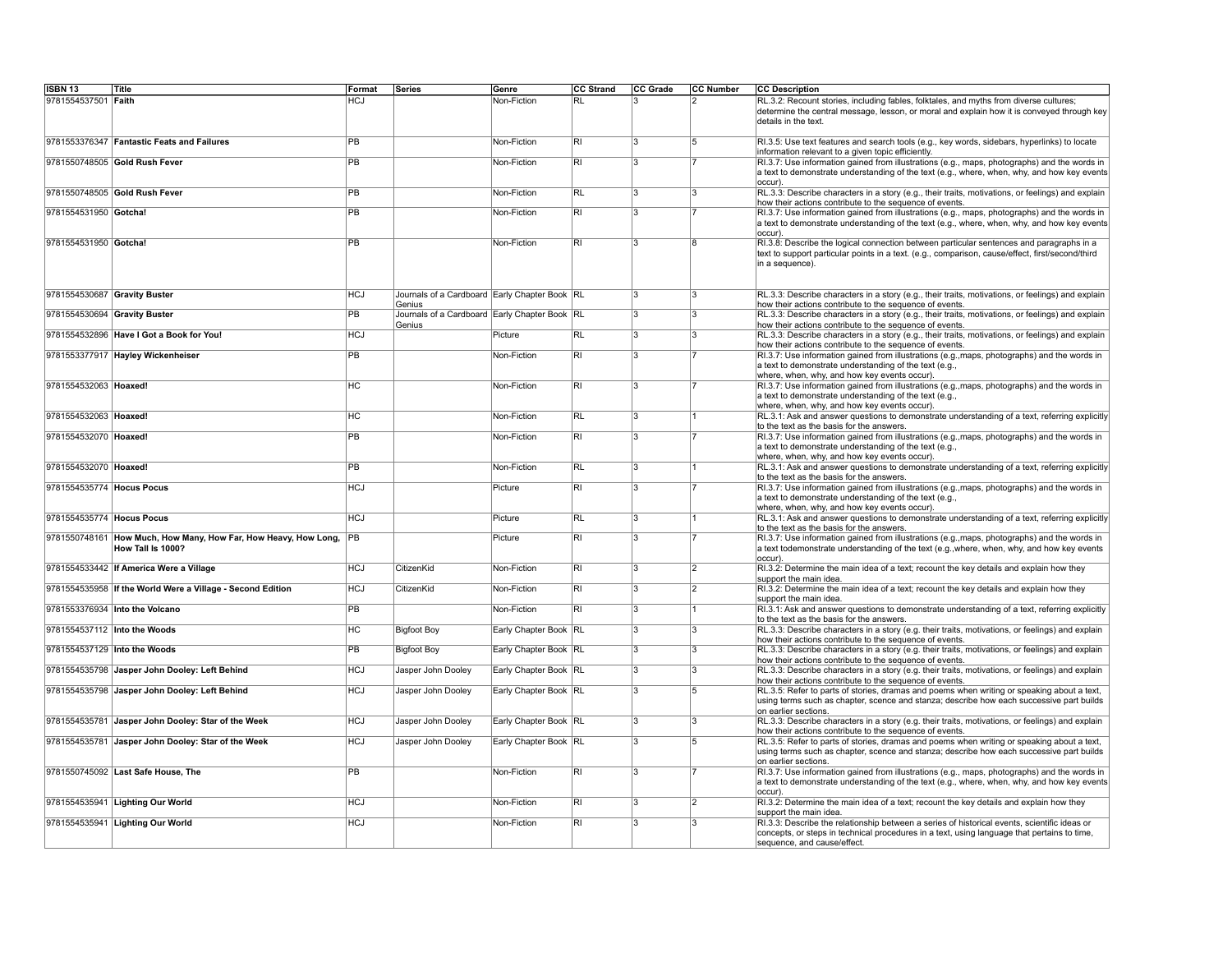| <b>ISBN 13</b>               | <b>Title</b>                                                                            | Format     | Series                                                  | Genre                 | <b>CC Strand</b>        | CC Grade       | <b>CC Number</b> | <b>CC Description</b>                                                                                                                                                                                                                                                     |
|------------------------------|-----------------------------------------------------------------------------------------|------------|---------------------------------------------------------|-----------------------|-------------------------|----------------|------------------|---------------------------------------------------------------------------------------------------------------------------------------------------------------------------------------------------------------------------------------------------------------------------|
| 9781554537501 Faith          |                                                                                         | <b>HCJ</b> |                                                         | Non-Fiction           | <b>RL</b>               | R              | 12               | RL.3.2: Recount stories, including fables, folktales, and myths from diverse cultures;<br>determine the central message, lesson, or moral and explain how it is conveyed through key<br>details in the text.                                                              |
|                              | 9781553376347 Fantastic Feats and Failures                                              | PB         |                                                         | Non-Fiction           | RI                      | 3              | 15               | RI.3.5: Use text features and search tools (e.g., key words, sidebars, hyperlinks) to locate<br>information relevant to a given topic efficiently.                                                                                                                        |
|                              | 9781550748505 Gold Rush Fever                                                           | PB         |                                                         | Non-Fiction           | $\overline{RI}$         | 3              |                  | RI.3.7: Use information gained from illustrations (e.g., maps, photographs) and the words in<br>a text to demonstrate understanding of the text (e.g., where, when, why, and how key events                                                                               |
|                              | 9781550748505 Gold Rush Fever                                                           | PB         |                                                         | Non-Fiction           | <b>RL</b>               | 3              | 3                | occur).<br>RL.3.3: Describe characters in a story (e.g., their traits, motivations, or feelings) and explain<br>how their actions contribute to the sequence of events.                                                                                                   |
| 9781554531950 Gotcha!        |                                                                                         | <b>PB</b>  |                                                         | Non-Fiction           | R                       | 3              |                  | RI.3.7: Use information gained from illustrations (e.g., maps, photographs) and the words in<br>a text to demonstrate understanding of the text (e.g., where, when, why, and how key events<br>loccur).                                                                   |
| 9781554531950 Gotcha!        |                                                                                         | <b>PB</b>  |                                                         | Non-Fiction           | $\overline{RI}$         | 3              | R                | RI.3.8: Describe the logical connection between particular sentences and paragraphs in a<br>text to support particular points in a text. (e.g., comparison, cause/effect, first/second/third<br>in a sequence).                                                           |
| 9781554530687 Gravity Buster |                                                                                         | <b>HCJ</b> | Journals of a Cardboard Early Chapter Book RL<br>Genius |                       |                         | 3              | 3                | RL.3.3: Describe characters in a story (e.g., their traits, motivations, or feelings) and explain<br>how their actions contribute to the sequence of events.                                                                                                              |
| 9781554530694 Gravity Buster |                                                                                         | PB         | Journals of a Cardboard Early Chapter Book RL<br>Genius |                       |                         | 3              | 3                | RL.3.3: Describe characters in a story (e.g., their traits, motivations, or feelings) and explain<br>how their actions contribute to the sequence of events.                                                                                                              |
|                              | 9781554532896 Have I Got a Book for You!                                                | <b>HCJ</b> |                                                         | Picture               | RL                      | 3              | 3                | RL.3.3: Describe characters in a story (e.g., their traits, motivations, or feelings) and explain<br>how their actions contribute to the sequence of events.                                                                                                              |
|                              | 9781553377917 Hayley Wickenheiser                                                       | <b>PB</b>  |                                                         | Non-Fiction           | $\overline{\mathsf{R}}$ | 3              |                  | RI.3.7: Use information gained from illustrations (e.g., maps, photographs) and the words in<br>a text to demonstrate understanding of the text (e.g.,<br>where, when, why, and how key events occur).                                                                    |
| 9781554532063 Hoaxed!        |                                                                                         | <b>HC</b>  |                                                         | Non-Fiction           | $\overline{R}$          | 3              |                  | RI.3.7: Use information gained from illustrations (e.g., maps, photographs) and the words in<br>a text to demonstrate understanding of the text (e.g.,<br>where, when, why, and how key events occur).                                                                    |
| 9781554532063 Hoaxed!        |                                                                                         | HC         |                                                         | Non-Fiction           | <b>RL</b>               | 3              |                  | RL.3.1: Ask and answer questions to demonstrate understanding of a text, referring explicitly<br>to the text as the basis for the answers.                                                                                                                                |
| 9781554532070   Hoaxed!      |                                                                                         | PB         |                                                         | Non-Fiction           | <b>RI</b>               | 3              |                  | RI.3.7: Use information gained from illustrations (e.g., maps, photographs) and the words in<br>a text to demonstrate understanding of the text (e.g.,<br>where, when, why, and how key events occur).                                                                    |
| 9781554532070   Hoaxed!      |                                                                                         | <b>PB</b>  |                                                         | Non-Fiction           | $\overline{RL}$         | $\overline{3}$ |                  | RL.3.1: Ask and answer questions to demonstrate understanding of a text, referring explicitly<br>to the text as the basis for the answers.                                                                                                                                |
| 9781554535774 Hocus Pocus    |                                                                                         | <b>HCJ</b> |                                                         | Picture               | $\overline{\mathbb{R}}$ | 3              |                  | RI.3.7: Use information gained from illustrations (e.g., maps, photographs) and the words in<br>a text to demonstrate understanding of the text (e.g.,<br>where, when, why, and how key events occur).                                                                    |
| 9781554535774 Hocus Pocus    |                                                                                         | <b>HCJ</b> |                                                         | Picture               | <b>RL</b>               | 3              |                  | RL.3.1: Ask and answer questions to demonstrate understanding of a text, referring explicitly<br>to the text as the basis for the answers.                                                                                                                                |
|                              | 9781550748161 How Much, How Many, How Far, How Heavy, How Long, PB<br>How Tall Is 1000? |            |                                                         | Picture               | $\overline{\mathsf{R}}$ | 3              |                  | RI.3.7: Use information gained from illustrations (e.g., maps, photographs) and the words in<br>a text todemonstrate understanding of the text (e.g., where, when, why, and how key events<br>occur).                                                                     |
|                              | 9781554533442 If America Were a Village                                                 | <b>HCJ</b> | CitizenKid                                              | Non-Fiction           | <b>RI</b>               | $\overline{3}$ | $\overline{2}$   | RI.3.2: Determine the main idea of a text; recount the key details and explain how they<br>support the main idea.                                                                                                                                                         |
|                              | 9781554535958 If the World Were a Village - Second Edition                              | <b>HCJ</b> | CitizenKid                                              | Non-Fiction           | <b>RI</b>               | $\overline{3}$ | 12               | RI.3.2: Determine the main idea of a text; recount the key details and explain how they<br>support the main idea.                                                                                                                                                         |
|                              | 9781553376934 Into the Volcano                                                          | <b>PB</b>  |                                                         | Non-Fiction           | RI                      | 3              |                  | RI.3.1: Ask and answer questions to demonstrate understanding of a text, referring explicitly<br>to the text as the basis for the answers.                                                                                                                                |
| 9781554537112 Into the Woods |                                                                                         | HC         | <b>Bigfoot Boy</b>                                      | Early Chapter Book RL |                         | 3              | l3               | RL.3.3: Describe characters in a story (e.g. their traits, motivations, or feelings) and explain<br>how their actions contribute to the sequence of events.                                                                                                               |
| 9781554537129 Into the Woods |                                                                                         | <b>PB</b>  | <b>Bigfoot Boy</b>                                      | Early Chapter Book RL |                         | 3              | l3               | RL.3.3: Describe characters in a story (e.g. their traits, motivations, or feelings) and explain<br>how their actions contribute to the sequence of events.                                                                                                               |
|                              | 9781554535798 Jasper John Dooley: Left Behind                                           | <b>HCJ</b> | Jasper John Dooley                                      | Early Chapter Book RL |                         | 3              | l3               | RL.3.3: Describe characters in a story (e.g. their traits, motivations, or feelings) and explain<br>how their actions contribute to the sequence of events.                                                                                                               |
|                              | 9781554535798 Jasper John Dooley: Left Behind                                           | <b>HCJ</b> | Jasper John Dooley                                      | Early Chapter Book RL |                         | 3              | 15               | RL.3.5: Refer to parts of stories, dramas and poems when writing or speaking about a text,<br>using terms such as chapter, scence and stanza; describe how each successive part builds<br>on earlier sections.                                                            |
|                              | 9781554535781 Jasper John Dooley: Star of the Week                                      | <b>HCJ</b> | Jasper John Doolev                                      | Early Chapter Book RL |                         | $\overline{3}$ | l3               | RL.3.3: Describe characters in a story (e.g. their traits, motivations, or feelings) and explain                                                                                                                                                                          |
|                              | 9781554535781 Jasper John Dooley: Star of the Week                                      | <b>HCJ</b> | Jasper John Dooley                                      | Early Chapter Book RL |                         | $\overline{3}$ | $\overline{5}$   | how their actions contribute to the sequence of events.<br>RL.3.5: Refer to parts of stories, dramas and poems when writing or speaking about a text,<br>using terms such as chapter, scence and stanza; describe how each successive part builds<br>on earlier sections. |
|                              | 9781550745092 Last Safe House, The                                                      | <b>PB</b>  |                                                         | Non-Fiction           | $\overline{\mathsf{R}}$ | 3              |                  | RI.3.7: Use information gained from illustrations (e.g., maps, photographs) and the words in<br>a text to demonstrate understanding of the text (e.g., where, when, why, and how key events                                                                               |
|                              | 9781554535941 Lighting Our World                                                        | <b>HCJ</b> |                                                         | Non-Fiction           | $\overline{RI}$         | $\overline{3}$ | $\overline{2}$   | $occur$ ).<br>RI.3.2: Determine the main idea of a text; recount the key details and explain how they                                                                                                                                                                     |
|                              | 9781554535941 Lighting Our World                                                        | <b>HCJ</b> |                                                         | Non-Fiction           | $\overline{\mathsf{R}}$ | 3              | l3               | support the main idea.<br>RI.3.3: Describe the relationship between a series of historical events, scientific ideas or<br>concepts, or steps in technical procedures in a text, using language that pertains to time,<br>sequence, and cause/effect.                      |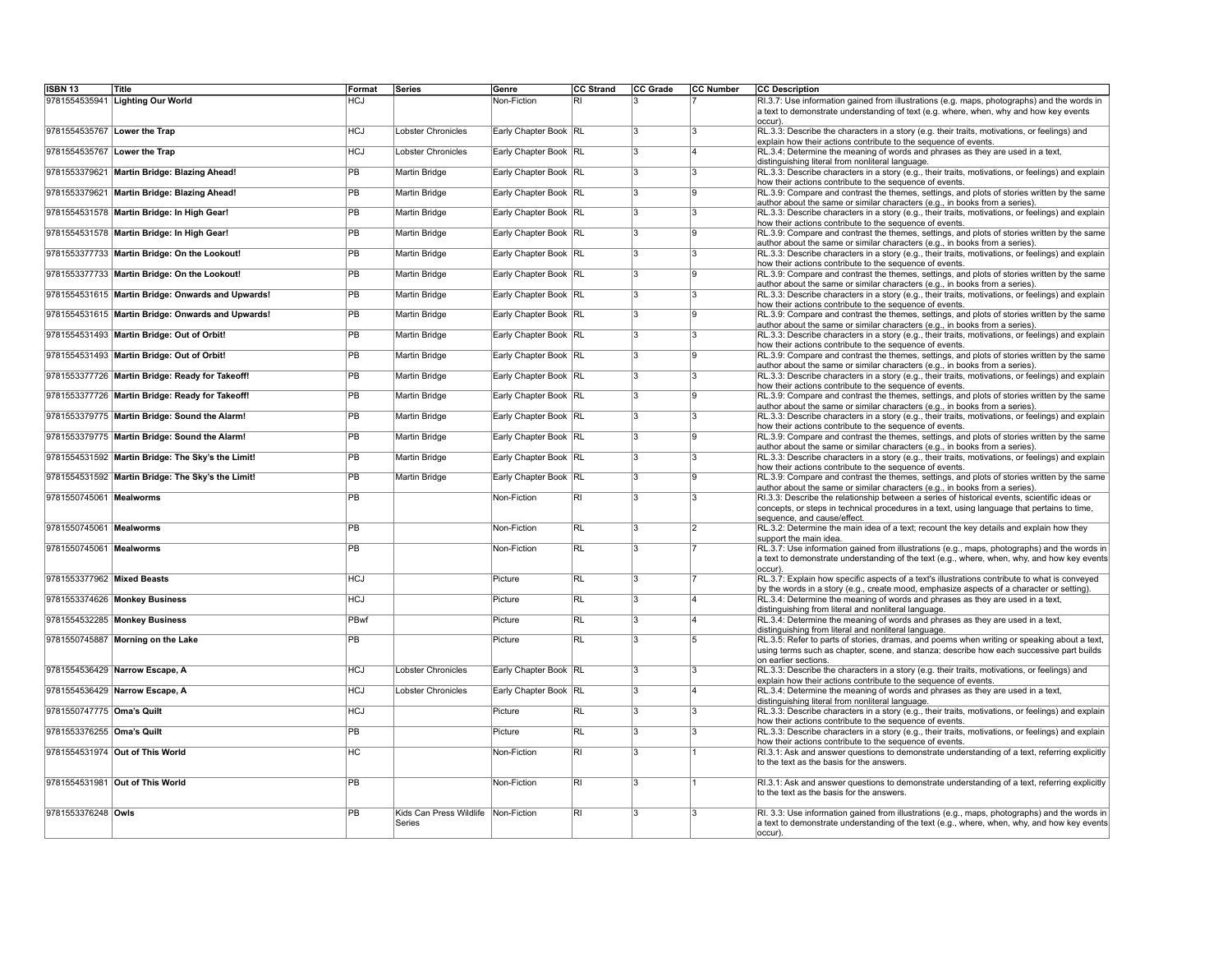| <b>ISBN 13</b>               | Title                                             | Format          | Series                            | Genre                 | CC Strand                | CC Grade                | CC Number      | <b>CC Description</b>                                                                                                                                                                                                      |
|------------------------------|---------------------------------------------------|-----------------|-----------------------------------|-----------------------|--------------------------|-------------------------|----------------|----------------------------------------------------------------------------------------------------------------------------------------------------------------------------------------------------------------------------|
| 9781554535941                | <b>Lighting Our World</b>                         | <b>HCJ</b>      |                                   | Non-Fiction           | RI                       | $\overline{\mathbf{3}}$ |                | RI.3.7: Use information gained from illustrations (e.g. maps, photographs) and the words in<br>a text to demonstrate understanding of text (e.g. where, when, why and how key events<br>occur).                            |
| 9781554535767 Lower the Trap |                                                   | <b>HCJ</b>      | Lobster Chronicles                | Early Chapter Book RL |                          | $\overline{3}$          | l3             | RL.3.3: Describe the characters in a story (e.g. their traits, motivations, or feelings) and<br>explain how their actions contribute to the sequence of events.                                                            |
| 9781554535767 Lower the Trap |                                                   | <b>HCJ</b>      | Lobster Chronicles                | Early Chapter Book RL |                          | $\overline{3}$          | 14             | RL.3.4: Determine the meaning of words and phrases as they are used in a text,<br>distinguishing literal from nonliteral language.                                                                                         |
|                              | 9781553379621 Martin Bridge: Blazing Ahead!       | PB              | Martin Bridge                     | Early Chapter Book RL |                          | $\overline{3}$          | l3             | RL.3.3: Describe characters in a story (e.g., their traits, motivations, or feelings) and explain<br>how their actions contribute to the sequence of events.                                                               |
|                              | 9781553379621 Martin Bridge: Blazing Ahead!       | <b>PB</b>       | Martin Bridge                     | Early Chapter Book RL |                          | 3                       | l9             | RL.3.9: Compare and contrast the themes, settings, and plots of stories written by the same<br>author about the same or similar characters (e.g., in books from a series).                                                 |
|                              | 9781554531578 Martin Bridge: In High Gear!        | <b>PB</b>       | Martin Bridge                     | Early Chapter Book RL |                          | $\overline{3}$          | $\overline{3}$ | RL.3.3: Describe characters in a story (e.g., their traits, motivations, or feelings) and explain<br>how their actions contribute to the sequence of events.                                                               |
|                              | 9781554531578 Martin Bridge: In High Gear!        | PB              | Martin Bridge                     | Early Chapter Book RL |                          | $\overline{3}$          | ١g             | RL.3.9: Compare and contrast the themes, settings, and plots of stories written by the same<br>author about the same or similar characters (e.g., in books from a series).                                                 |
|                              | 9781553377733 Martin Bridge: On the Lookout!      | <b>PB</b>       | Martin Bridge                     | Early Chapter Book RL |                          | 3                       | 3              | RL.3.3: Describe characters in a story (e.g., their traits, motivations, or feelings) and explain<br>how their actions contribute to the sequence of events.                                                               |
|                              | 9781553377733 Martin Bridge: On the Lookout!      | <b>PB</b>       | Martin Bridge                     | Early Chapter Book RL |                          | 3                       | l9             | RL.3.9: Compare and contrast the themes, settings, and plots of stories written by the same<br>author about the same or similar characters (e.g., in books from a series).                                                 |
|                              | 9781554531615 Martin Bridge: Onwards and Upwards! | <b>PB</b>       | Martin Bridge                     | Early Chapter Book RL |                          | 3                       | $ 3\rangle$    | RL.3.3: Describe characters in a story (e.g., their traits, motivations, or feelings) and explain<br>how their actions contribute to the sequence of events.                                                               |
|                              | 9781554531615 Martin Bridge: Onwards and Upwards! | <b>PB</b>       | Martin Bridge                     | Early Chapter Book RL |                          | $\overline{\mathbf{3}}$ | l9             | RL.3.9: Compare and contrast the themes, settings, and plots of stories written by the same<br>author about the same or similar characters (e.g., in books from a series).                                                 |
|                              | 9781554531493 Martin Bridge: Out of Orbit!        | PB              | Martin Bridge                     | Early Chapter Book RL |                          | 3                       | 3              | RL.3.3: Describe characters in a story (e.g., their traits, motivations, or feelings) and explain<br>how their actions contribute to the sequence of events.                                                               |
|                              | 9781554531493 Martin Bridge: Out of Orbit!        | PB              | <b>Martin Bridge</b>              | Early Chapter Book RL |                          | $\overline{3}$          | $\overline{9}$ | RL.3.9: Compare and contrast the themes, settings, and plots of stories written by the same<br>author about the same or similar characters (e.g., in books from a series)                                                  |
|                              | 9781553377726 Martin Bridge: Ready for Takeoff!   | <b>PB</b>       | Martin Bridge                     | Early Chapter Book RL |                          | 3                       | $\overline{3}$ | RL.3.3: Describe characters in a story (e.g., their traits, motivations, or feelings) and explain<br>how their actions contribute to the sequence of events.                                                               |
|                              | 9781553377726 Martin Bridge: Ready for Takeoff!   | <b>PB</b>       | Martin Bridge                     | Early Chapter Book RL |                          | 3                       | <b>g</b>       | RL.3.9: Compare and contrast the themes, settings, and plots of stories written by the same<br>author about the same or similar characters (e.g., in books from a series).                                                 |
|                              | 9781553379775 Martin Bridge: Sound the Alarm!     | <b>PB</b>       | Martin Bridge                     | Early Chapter Book RL |                          | $\overline{3}$          | l3             | RL.3.3: Describe characters in a story (e.g., their traits, motivations, or feelings) and explain<br>how their actions contribute to the sequence of events.                                                               |
|                              | 9781553379775 Martin Bridge: Sound the Alarm!     | PB              | Martin Bridge                     | Early Chapter Book RL |                          | 3                       | <b>g</b>       | RL.3.9: Compare and contrast the themes, settings, and plots of stories written by the same<br>author about the same or similar characters (e.g., in books from a series).                                                 |
|                              | 9781554531592 Martin Bridge: The Sky's the Limit! | <b>PB</b>       | Martin Bridge                     | Early Chapter Book RL |                          | $\overline{\mathbf{3}}$ | l3             | RL.3.3: Describe characters in a story (e.g., their traits, motivations, or feelings) and explain<br>how their actions contribute to the sequence of events.                                                               |
|                              | 9781554531592 Martin Bridge: The Sky's the Limit! | <b>PB</b>       | Martin Bridge                     | Early Chapter Book RL |                          | $\overline{3}$          | g              | RL.3.9: Compare and contrast the themes, settings, and plots of stories written by the same<br>author about the same or similar characters (e.g., in books from a series).                                                 |
| 9781550745061 Mealworms      |                                                   | <b>PB</b>       |                                   | Non-Fiction           | RI                       | 3                       | 3              | RI.3.3: Describe the relationship between a series of historical events, scientific ideas or<br>concepts, or steps in technical procedures in a text, using language that pertains to time,<br>sequence, and cause/effect. |
| 9781550745061 Mealworms      |                                                   | PB              |                                   | Non-Fiction           | RL                       | 3                       | $\overline{2}$ | RL.3.2: Determine the main idea of a text; recount the key details and explain how they<br>support the main idea.                                                                                                          |
| 9781550745061 Mealworms      |                                                   | PB              |                                   | Non-Fiction           | <b>RL</b>                | 3                       |                | RL.3.7: Use information gained from illustrations (e.g., maps, photographs) and the words in<br>a text to demonstrate understanding of the text (e.g., where, when, why, and how key events<br>occur).                     |
| 9781553377962 Mixed Beasts   |                                                   | <b>HCJ</b>      |                                   | Picture               | R                        | 3                       |                | RL.3.7: Explain how specific aspects of a text's illustrations contribute to what is conveyed<br>by the words in a story (e.g., create mood, emphasize aspects of a character or setting).                                 |
|                              | 9781553374626 Monkey Business                     | <b>HCJ</b>      |                                   | Picture               | $\overline{\mathsf{RL}}$ | 3                       | 14             | RL.3.4: Determine the meaning of words and phrases as they are used in a text,<br>distinguishing from literal and nonliteral language.                                                                                     |
|                              | 9781554532285 Monkey Business                     | PBwf            |                                   | Picture               | RL                       | 3                       | 14             | RL.3.4: Determine the meaning of words and phrases as they are used in a text,<br>distinguishing from literal and nonliteral language.                                                                                     |
|                              | 9781550745887 Morning on the Lake                 | <b>PB</b>       |                                   | Picture               | RL                       | 3                       | $\overline{5}$ | RL.3.5: Refer to parts of stories, dramas, and poems when writing or speaking about a text,<br>using terms such as chapter, scene, and stanza; describe how each successive part builds                                    |
|                              | 9781554536429 Narrow Escape, A                    | <b>HCJ</b>      | Lobster Chronicles                | Early Chapter Book RL |                          | 3                       | l3             | on earlier sections.<br>RL.3.3: Describe the characters in a story (e.g. their traits, motivations, or feelings) and<br>explain how their actions contribute to the sequence of events.                                    |
|                              | 9781554536429 Narrow Escape, A                    | <b>HCJ</b>      | Lobster Chronicles                | Early Chapter Book RL |                          | 3                       | 14             | RL.3.4: Determine the meaning of words and phrases as they are used in a text,<br>distinguishing literal from nonliteral language.                                                                                         |
| 9781550747775 Oma's Quilt    |                                                   | <b>HCJ</b>      |                                   | Picture               | RL                       | 3                       | l3             | RL.3.3: Describe characters in a story (e.g., their traits, motivations, or feelings) and explain<br>how their actions contribute to the sequence of events.                                                               |
| 9781553376255 Oma's Quilt    |                                                   | PB              |                                   | Picture               | RL                       | 3                       | l3             | RL.3.3: Describe characters in a story (e.g., their traits, motivations, or feelings) and explain<br>how their actions contribute to the sequence of events.                                                               |
|                              | 9781554531974 Out of This World                   | <b>HC</b>       |                                   | Non-Fiction           | RI                       | 3                       |                | RI.3.1: Ask and answer questions to demonstrate understanding of a text, referring explicitly<br>to the text as the basis for the answers.                                                                                 |
|                              | 9781554531981 Out of This World                   | <b>PB</b>       |                                   | Non-Fiction           | $\overline{R}$           | 3                       |                | RI.3.1: Ask and answer questions to demonstrate understanding of a text, referring explicitly<br>to the text as the basis for the answers.                                                                                 |
| 9781553376248 Owls           |                                                   | $\overline{PB}$ | Kids Can Press Wildlife<br>Series | Non-Fiction           | $\overline{\mathsf{R}}$  | 3                       | l3             | RI. 3.3: Use information gained from illustrations (e.g., maps, photographs) and the words in<br>a text to demonstrate understanding of the text (e.g., where, when, why, and how key events<br>occur).                    |